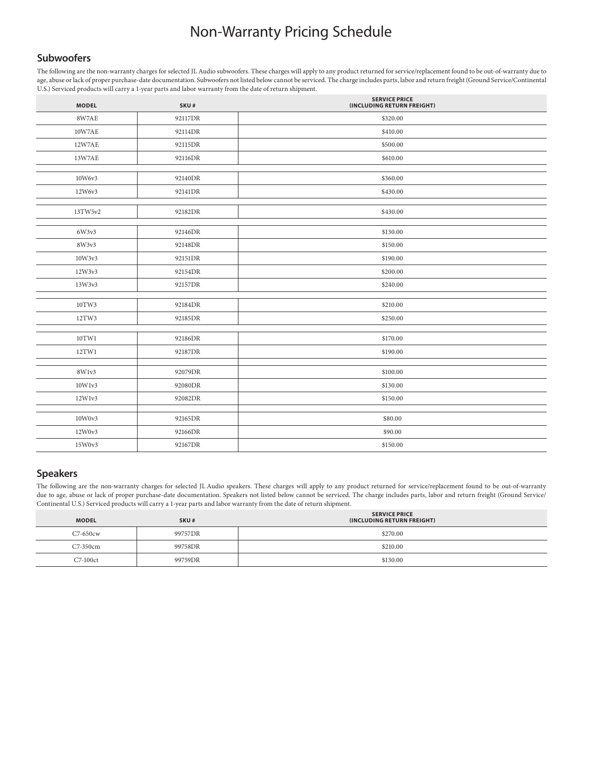# Non-Warranty Pricing Schedule

### **Subwoofers**

The following are the non-warranty charges for selected JL Audio subwoofers. These charges will apply to any product returned for service/replacement found to be out-of-warranty due to age, abuse or lack of proper purchase-date documentation. Subwoofers not listed below cannot be serviced. The charge includes parts, labor and return freight (Ground Service/Continental U.S.) Serviced products will carry a 1-year parts and labor warranty from the date of return shipment.

| <b>MODEL</b> | SKU#    | <b>SERVICE PRICE</b><br>(INCLUDING RETURN FREIGHT) |
|--------------|---------|----------------------------------------------------|
| 8W7AE        | 92117DR | \$320.00                                           |
| 10W7AE       | 92114DR | \$410.00                                           |
| 12W7AE       | 92115DR | \$500.00                                           |
| 13W7AE       | 92116DR | \$610.00                                           |
|              |         |                                                    |
| 10W6v3       | 92140DR | \$360.00                                           |
| 12W6v3       | 92141DR | \$430.00                                           |
|              |         |                                                    |
| 13TW5v2      | 92182DR | \$430.00                                           |
| 6W3v3        | 92146DR | \$130.00                                           |
|              |         |                                                    |
| 8W3v3        | 92148DR | \$150.00                                           |
| 10W3v3       | 92151DR | \$190.00                                           |
| 12W3v3       | 92154DR | \$200.00                                           |
| 13W3v3       | 92157DR | \$240.00                                           |
|              |         |                                                    |
| 10TW3        | 92184DR | \$210.00                                           |
| 12TW3        | 92185DR | \$250.00                                           |
|              |         |                                                    |
| 10TW1        | 92186DR | \$170.00                                           |
| 12TW1        | 92187DR | \$190.00                                           |
|              |         |                                                    |
| 8W1v3        | 92079DR | \$100.00                                           |
| 10W1v3       | 92080DR | \$130.00                                           |
| 12W1v3       | 92082DR | \$150.00                                           |
|              |         |                                                    |
| 10W0v3       | 92165DR | \$80.00                                            |
| 12W0v3       | 92166DR | \$90.00                                            |
| 15W0v3       | 92167DR | \$150.00                                           |

# **Speakers**

The following are the non-warranty charges for selected JL Audio speakers. These charges will apply to any product returned for service/replacement found to be out-of-warranty due to age, abuse or lack of proper purchase-date documentation. Speakers not listed below cannot be serviced. The charge includes parts, labor and return freight (Ground Service/ Continental U.S.) Serviced products will carry a 1-year parts and labor warranty from the date of return shipment.

| <b>MODEL</b> | SKU#    | <b>SERVICE PRICE</b><br>(INCLUDING RETURN FREIGHT) |
|--------------|---------|----------------------------------------------------|
| $C7-650cw$   | 99757DR | \$270.00                                           |
| C7-350cm     | 99758DR | \$210.00                                           |
| $C7-100ct$   | 99759DR | \$130.00                                           |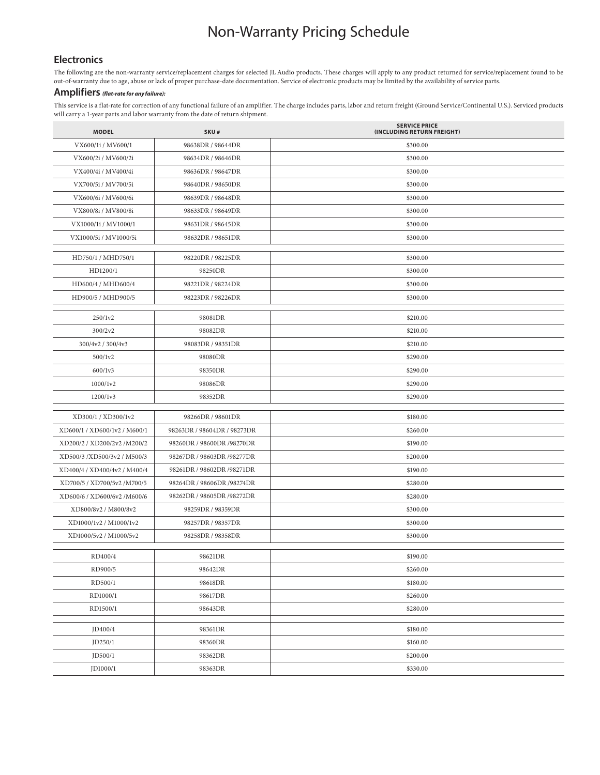# Non-Warranty Pricing Schedule

#### **Electronics**

The following are the non-warranty service/replacement charges for selected JL Audio products. These charges will apply to any product returned for service/replacement found to be out-of-warranty due to age, abuse or lack of proper purchase-date documentation. Service of electronic products may be limited by the availability of service parts.

### **Amplifiers** *(flat-rate for any failure):*

This service is a flat-rate for correction of any functional failure of an amplifier. The charge includes parts, labor and return freight (Ground Service/Continental U.S.). Serviced products will carry a 1-year parts and labor warranty from the date of return shipment.

| <b>MODEL</b>                 | SKU#                        | <b>SERVICE PRICE</b><br>(INCLUDING RETURN FREIGHT) |
|------------------------------|-----------------------------|----------------------------------------------------|
| VX600/1i / MV600/1           | 98638DR / 98644DR           | \$300.00                                           |
| VX600/2i / MV600/2i          | 98634DR / 98646DR           | \$300.00                                           |
| VX400/4i / MV400/4i          | 98636DR / 98647DR           | \$300.00                                           |
| VX700/5i / MV700/5i          | 98640DR / 98650DR           | \$300.00                                           |
| VX600/6i / MV600/6i          | 98639DR / 98648DR           | \$300.00                                           |
| VX800/8i / MV800/8i          | 98633DR / 98649DR           | \$300.00                                           |
| VX1000/1i / MV1000/1         | 98631DR / 98645DR           | \$300.00                                           |
| VX1000/5i / MV1000/5i        | 98632DR / 98651DR           | \$300.00                                           |
| HD750/1 / MHD750/1           | 98220DR / 98225DR           | \$300.00                                           |
| HD1200/1                     | 98250DR                     | \$300.00                                           |
| HD600/4 / MHD600/4           | 98221DR / 98224DR           | \$300.00                                           |
| HD900/5 / MHD900/5           | 98223DR / 98226DR           | \$300.00                                           |
| 250/1v2                      | 98081DR                     | \$210.00                                           |
| 300/2v2                      | 98082DR                     | \$210.00                                           |
| 300/4v2 / 300/4v3            | 98083DR / 98351DR           | \$210.00                                           |
| 500/1v2                      | 98080DR                     | \$290.00                                           |
| 600/1v3                      | 98350DR                     | \$290.00                                           |
| 1000/1v2                     | 98086DR                     | \$290.00                                           |
| 1200/1v3                     | 98352DR                     | \$290.00                                           |
|                              |                             |                                                    |
| XD300/1 / XD300/1v2          | 98266DR / 98601DR           | \$180.00                                           |
| XD600/1 / XD600/1v2 / M600/1 | 98263DR / 98604DR / 98273DR | \$260.00                                           |
| XD200/2 / XD200/2v2 /M200/2  | 98260DR / 98600DR /98270DR  | \$190.00                                           |
| XD500/3 /XD500/3v2 / M500/3  | 98267DR / 98603DR /98277DR  | \$200.00                                           |
| XD400/4 / XD400/4v2 / M400/4 | 98261DR / 98602DR /98271DR  | \$190.00                                           |
| XD700/5 / XD700/5v2 /M700/5  | 98264DR / 98606DR /98274DR  | \$280.00                                           |
| XD600/6 / XD600/6v2 /M600/6  | 98262DR / 98605DR /98272DR  | \$280.00                                           |
| XD800/8v2 / M800/8v2         | 98259DR / 98359DR           | \$300.00                                           |
| XD1000/1v2 / M1000/1v2       | 98257DR / 98357DR           | \$300.00                                           |
| XD1000/5v2 / M1000/5v2       | 98258DR / 98358DR           | \$300.00                                           |
| RD400/4                      | 98621DR                     | \$190.00                                           |
| RD900/5                      | 98642DR                     | \$260.00                                           |
| RD500/1                      | 98618DR                     | \$180.00                                           |
| RD1000/1                     | 98617DR                     | \$260.00                                           |
| RD1500/1                     | 98643DR                     | \$280.00                                           |
| JD400/4                      | 98361DR                     | \$180.00                                           |
| JD250/1                      | 98360DR                     | \$160.00                                           |
| JD500/1                      | 98362DR                     | \$200.00                                           |
| JD1000/1                     | 98363DR                     | \$330.00                                           |
|                              |                             |                                                    |